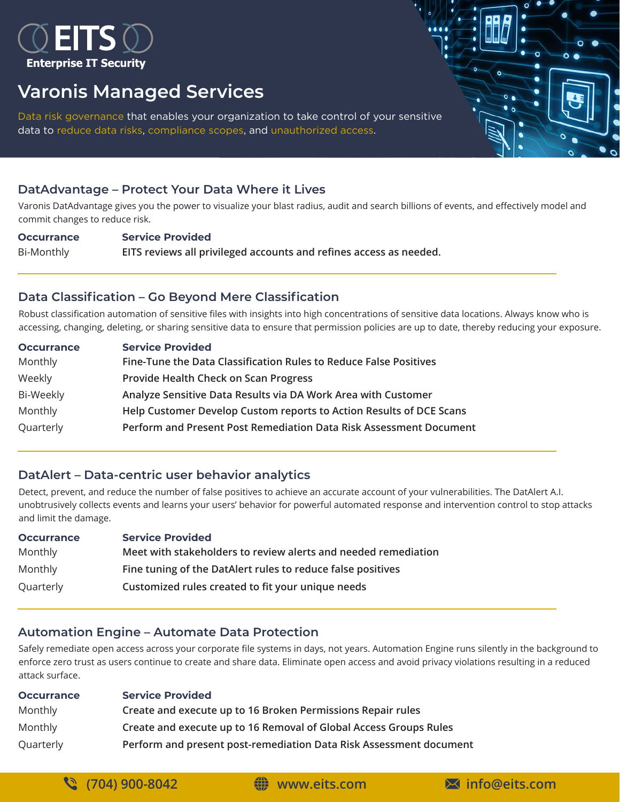

## **Varonis Managed Services**

Data risk governance that enables your organization to take control of your sensitive data to reduce data risks, compliance scopes, and unauthorized access.

## **DatAdvantage – Protect Your Data Where it Lives**

Varonis DatAdvantage gives you the power to visualize your blast radius, audit and search billions of events, and effectively model and commit changes to reduce risk.

**Occurrance Service Provided** Bi-Monthly **EITS reviews all privileged accounts and refines access as needed.**

## **Data Classification – Go Beyond Mere Classification**

Robust classification automation of sensitive files with insights into high concentrations of sensitive data locations. Always know who is accessing, changing, deleting, or sharing sensitive data to ensure that permission policies are up to date, thereby reducing your exposure.

| <b>Occurrance</b> | <b>Service Provided</b>                                             |
|-------------------|---------------------------------------------------------------------|
| Monthly           | Fine-Tune the Data Classification Rules to Reduce False Positives   |
| Weekly            | Provide Health Check on Scan Progress                               |
| Bi-Weekly         | Analyze Sensitive Data Results via DA Work Area with Customer       |
| Monthly           | Help Customer Develop Custom reports to Action Results of DCE Scans |
| Quarterly         | Perform and Present Post Remediation Data Risk Assessment Document  |

## **DatAlert – Data-centric user behavior analytics**

Detect, prevent, and reduce the number of false positives to achieve an accurate account of your vulnerabilities. The DatAlert A.I. unobtrusively collects events and learns your users' behavior for powerful automated response and intervention control to stop attacks and limit the damage.

| <b>Occurrance</b> | <b>Service Provided</b>                                        |
|-------------------|----------------------------------------------------------------|
| Monthly           | Meet with stakeholders to review alerts and needed remediation |
| Monthly           | Fine tuning of the DatAlert rules to reduce false positives    |
| Quarterly         | Customized rules created to fit your unique needs              |

## **Automation Engine – Automate Data Protection**

Safely remediate open access across your corporate file systems in days, not years. Automation Engine runs silently in the background to enforce zero trust as users continue to create and share data. Eliminate open access and avoid privacy violations resulting in a reduced attack surface.

| <b>Occurrance</b> | <b>Service Provided</b>                                            |
|-------------------|--------------------------------------------------------------------|
| Monthly           | Create and execute up to 16 Broken Permissions Repair rules        |
| Monthly           | Create and execute up to 16 Removal of Global Access Groups Rules  |
| Quarterly         | Perform and present post-remediation Data Risk Assessment document |